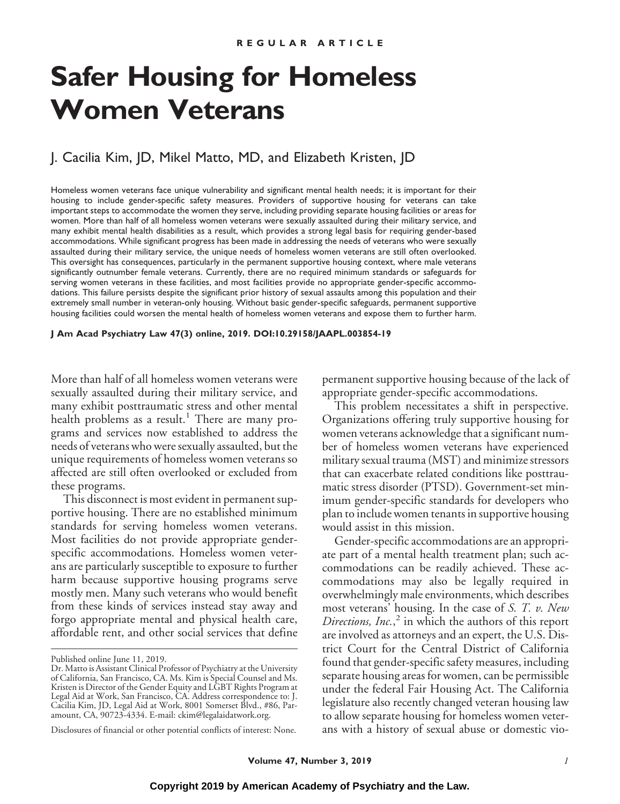# **Safer Housing for Homeless Women Veterans**

# J. Cacilia Kim, JD, Mikel Matto, MD, and Elizabeth Kristen, JD

Homeless women veterans face unique vulnerability and significant mental health needs; it is important for their housing to include gender-specific safety measures. Providers of supportive housing for veterans can take important steps to accommodate the women they serve, including providing separate housing facilities or areas for women. More than half of all homeless women veterans were sexually assaulted during their military service, and many exhibit mental health disabilities as a result, which provides a strong legal basis for requiring gender-based accommodations. While significant progress has been made in addressing the needs of veterans who were sexually assaulted during their military service, the unique needs of homeless women veterans are still often overlooked. This oversight has consequences, particularly in the permanent supportive housing context, where male veterans significantly outnumber female veterans. Currently, there are no required minimum standards or safeguards for serving women veterans in these facilities, and most facilities provide no appropriate gender-specific accommodations. This failure persists despite the significant prior history of sexual assaults among this population and their extremely small number in veteran-only housing. Without basic gender-specific safeguards, permanent supportive housing facilities could worsen the mental health of homeless women veterans and expose them to further harm.

**J Am Acad Psychiatry Law 47(3) online, 2019. DOI:10.29158/JAAPL.003854-19**

More than half of all homeless women veterans were sexually assaulted during their military service, and many exhibit posttraumatic stress and other mental health problems as a result.<sup>1</sup> There are many programs and services now established to address the needs of veterans who were sexually assaulted, but the unique requirements of homeless women veterans so affected are still often overlooked or excluded from these programs.

This disconnect is most evident in permanent supportive housing. There are no established minimum standards for serving homeless women veterans. Most facilities do not provide appropriate genderspecific accommodations. Homeless women veterans are particularly susceptible to exposure to further harm because supportive housing programs serve mostly men. Many such veterans who would benefit from these kinds of services instead stay away and forgo appropriate mental and physical health care, affordable rent, and other social services that define

permanent supportive housing because of the lack of appropriate gender-specific accommodations.

This problem necessitates a shift in perspective. Organizations offering truly supportive housing for women veterans acknowledge that a significant number of homeless women veterans have experienced military sexual trauma (MST) and minimize stressors that can exacerbate related conditions like posttraumatic stress disorder (PTSD). Government-set minimum gender-specific standards for developers who plan to include women tenants in supportive housing would assist in this mission.

Gender-specific accommodations are an appropriate part of a mental health treatment plan; such accommodations can be readily achieved. These accommodations may also be legally required in overwhelmingly male environments, which describes most veterans' housing. In the case of *S. T. v. New Directions, Inc.*, <sup>2</sup> in which the authors of this report are involved as attorneys and an expert, the U.S. District Court for the Central District of California found that gender-specific safety measures, including separate housing areas for women, can be permissible under the federal Fair Housing Act. The California legislature also recently changed veteran housing law to allow separate housing for homeless women veterans with a history of sexual abuse or domestic vio-

Published online June 11, 2019.

Dr. Matto is Assistant Clinical Professor of Psychiatry at the University of California, San Francisco, CA. Ms. Kim is Special Counsel and Ms. Kristen is Director of the Gender Equity and LGBT Rights Program at Legal Aid at Work, San Francisco, CA. Address correspondence to: J. Cacilia Kim, JD, Legal Aid at Work, 8001 Somerset Blvd., #86, Paramount, CA, 90723-4334. E-mail: ckim@legalaidatwork.org.

Disclosures of financial or other potential conflicts of interest: None.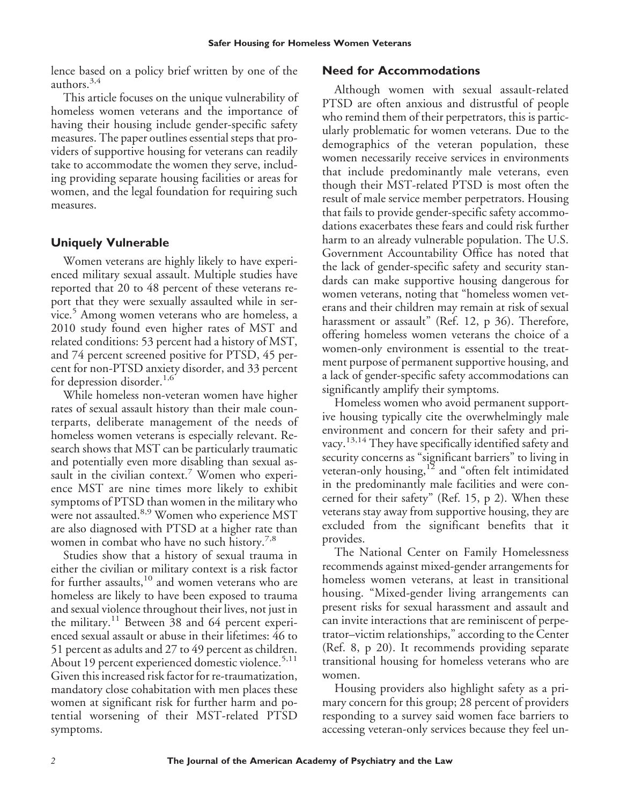lence based on a policy brief written by one of the authors.3,4

This article focuses on the unique vulnerability of homeless women veterans and the importance of having their housing include gender-specific safety measures. The paper outlines essential steps that providers of supportive housing for veterans can readily take to accommodate the women they serve, including providing separate housing facilities or areas for women, and the legal foundation for requiring such measures.

#### **Uniquely Vulnerable**

Women veterans are highly likely to have experienced military sexual assault. Multiple studies have reported that 20 to 48 percent of these veterans report that they were sexually assaulted while in service.<sup>5</sup> Among women veterans who are homeless, a 2010 study found even higher rates of MST and related conditions: 53 percent had a history of MST, and 74 percent screened positive for PTSD, 45 percent for non-PTSD anxiety disorder, and 33 percent for depression disorder.<sup>1,6</sup>

While homeless non-veteran women have higher rates of sexual assault history than their male counterparts, deliberate management of the needs of homeless women veterans is especially relevant. Research shows that MST can be particularly traumatic and potentially even more disabling than sexual assault in the civilian context.<sup>7</sup> Women who experience MST are nine times more likely to exhibit symptoms of PTSD than women in the military who were not assaulted.<sup>8,9</sup> Women who experience MST are also diagnosed with PTSD at a higher rate than women in combat who have no such history.<sup>7,8</sup>

Studies show that a history of sexual trauma in either the civilian or military context is a risk factor for further assaults, $10$  and women veterans who are homeless are likely to have been exposed to trauma and sexual violence throughout their lives, not just in the military.<sup>11</sup> Between 38 and 64 percent experienced sexual assault or abuse in their lifetimes: 46 to 51 percent as adults and 27 to 49 percent as children. About 19 percent experienced domestic violence.<sup>5,11</sup> Given this increased risk factor for re-traumatization, mandatory close cohabitation with men places these women at significant risk for further harm and potential worsening of their MST-related PTSD symptoms.

#### **Need for Accommodations**

Although women with sexual assault-related PTSD are often anxious and distrustful of people who remind them of their perpetrators, this is particularly problematic for women veterans. Due to the demographics of the veteran population, these women necessarily receive services in environments that include predominantly male veterans, even though their MST-related PTSD is most often the result of male service member perpetrators. Housing that fails to provide gender-specific safety accommodations exacerbates these fears and could risk further harm to an already vulnerable population. The U.S. Government Accountability Office has noted that the lack of gender-specific safety and security standards can make supportive housing dangerous for women veterans, noting that "homeless women veterans and their children may remain at risk of sexual harassment or assault" (Ref. 12, p 36). Therefore, offering homeless women veterans the choice of a women-only environment is essential to the treatment purpose of permanent supportive housing, and a lack of gender-specific safety accommodations can significantly amplify their symptoms.

Homeless women who avoid permanent supportive housing typically cite the overwhelmingly male environment and concern for their safety and privacy.13,14 They have specifically identified safety and security concerns as "significant barriers" to living in veteran-only housing,<sup>12</sup> and "often felt intimidated in the predominantly male facilities and were concerned for their safety" (Ref. 15, p 2). When these veterans stay away from supportive housing, they are excluded from the significant benefits that it provides.

The National Center on Family Homelessness recommends against mixed-gender arrangements for homeless women veterans, at least in transitional housing. "Mixed-gender living arrangements can present risks for sexual harassment and assault and can invite interactions that are reminiscent of perpetrator–victim relationships," according to the Center (Ref. 8, p 20). It recommends providing separate transitional housing for homeless veterans who are women.

Housing providers also highlight safety as a primary concern for this group; 28 percent of providers responding to a survey said women face barriers to accessing veteran-only services because they feel un-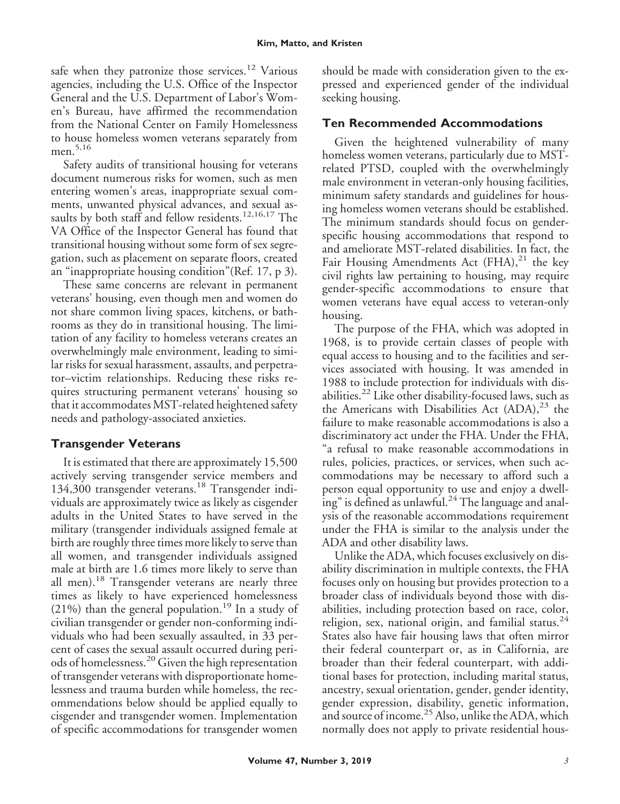safe when they patronize those services.<sup>12</sup> Various agencies, including the U.S. Office of the Inspector General and the U.S. Department of Labor's Women's Bureau, have affirmed the recommendation from the National Center on Family Homelessness to house homeless women veterans separately from men. $5,16$ 

Safety audits of transitional housing for veterans document numerous risks for women, such as men entering women's areas, inappropriate sexual comments, unwanted physical advances, and sexual assaults by both staff and fellow residents.<sup>12,16,17</sup> The VA Office of the Inspector General has found that transitional housing without some form of sex segregation, such as placement on separate floors, created an "inappropriate housing condition"(Ref. 17, p 3).

These same concerns are relevant in permanent veterans' housing, even though men and women do not share common living spaces, kitchens, or bathrooms as they do in transitional housing. The limitation of any facility to homeless veterans creates an overwhelmingly male environment, leading to similar risks for sexual harassment, assaults, and perpetrator–victim relationships. Reducing these risks requires structuring permanent veterans' housing so that it accommodates MST-related heightened safety needs and pathology-associated anxieties.

# **Transgender Veterans**

It is estimated that there are approximately 15,500 actively serving transgender service members and 134,300 transgender veterans.<sup>18</sup> Transgender individuals are approximately twice as likely as cisgender adults in the United States to have served in the military (transgender individuals assigned female at birth are roughly three times more likely to serve than all women, and transgender individuals assigned male at birth are 1.6 times more likely to serve than all men).<sup>18</sup> Transgender veterans are nearly three times as likely to have experienced homelessness (21%) than the general population.<sup>19</sup> In a study of civilian transgender or gender non-conforming individuals who had been sexually assaulted, in 33 percent of cases the sexual assault occurred during periods of homelessness.<sup>20</sup> Given the high representation of transgender veterans with disproportionate homelessness and trauma burden while homeless, the recommendations below should be applied equally to cisgender and transgender women. Implementation of specific accommodations for transgender women

should be made with consideration given to the expressed and experienced gender of the individual seeking housing.

## **Ten Recommended Accommodations**

Given the heightened vulnerability of many homeless women veterans, particularly due to MSTrelated PTSD, coupled with the overwhelmingly male environment in veteran-only housing facilities, minimum safety standards and guidelines for housing homeless women veterans should be established. The minimum standards should focus on genderspecific housing accommodations that respond to and ameliorate MST-related disabilities. In fact, the Fair Housing Amendments Act  $(FHA)<sup>21</sup>$  the key civil rights law pertaining to housing, may require gender-specific accommodations to ensure that women veterans have equal access to veteran-only housing.

The purpose of the FHA, which was adopted in 1968, is to provide certain classes of people with equal access to housing and to the facilities and services associated with housing. It was amended in 1988 to include protection for individuals with disabilities.<sup>22</sup> Like other disability-focused laws, such as the Americans with Disabilities Act  $(ADA)<sup>23</sup>$  the failure to make reasonable accommodations is also a discriminatory act under the FHA. Under the FHA, "a refusal to make reasonable accommodations in rules, policies, practices, or services, when such accommodations may be necessary to afford such a person equal opportunity to use and enjoy a dwelling" is defined as unlawful. $^{24}$  The language and analysis of the reasonable accommodations requirement under the FHA is similar to the analysis under the ADA and other disability laws.

Unlike the ADA, which focuses exclusively on disability discrimination in multiple contexts, the FHA focuses only on housing but provides protection to a broader class of individuals beyond those with disabilities, including protection based on race, color, religion, sex, national origin, and familial status.<sup>24</sup> States also have fair housing laws that often mirror their federal counterpart or, as in California, are broader than their federal counterpart, with additional bases for protection, including marital status, ancestry, sexual orientation, gender, gender identity, gender expression, disability, genetic information, and source of income.<sup>25</sup> Also, unlike the ADA, which normally does not apply to private residential hous-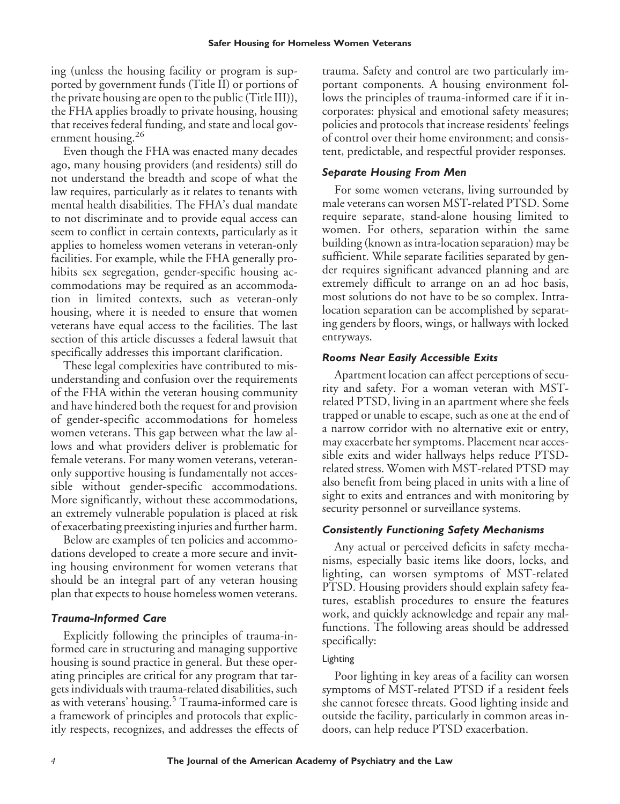ing (unless the housing facility or program is supported by government funds (Title II) or portions of the private housing are open to the public (Title III)), the FHA applies broadly to private housing, housing that receives federal funding, and state and local government housing.<sup>26</sup>

Even though the FHA was enacted many decades ago, many housing providers (and residents) still do not understand the breadth and scope of what the law requires, particularly as it relates to tenants with mental health disabilities. The FHA's dual mandate to not discriminate and to provide equal access can seem to conflict in certain contexts, particularly as it applies to homeless women veterans in veteran-only facilities. For example, while the FHA generally prohibits sex segregation, gender-specific housing accommodations may be required as an accommodation in limited contexts, such as veteran-only housing, where it is needed to ensure that women veterans have equal access to the facilities. The last section of this article discusses a federal lawsuit that specifically addresses this important clarification.

These legal complexities have contributed to misunderstanding and confusion over the requirements of the FHA within the veteran housing community and have hindered both the request for and provision of gender-specific accommodations for homeless women veterans. This gap between what the law allows and what providers deliver is problematic for female veterans. For many women veterans, veteranonly supportive housing is fundamentally not accessible without gender-specific accommodations. More significantly, without these accommodations, an extremely vulnerable population is placed at risk of exacerbating preexisting injuries and further harm.

Below are examples of ten policies and accommodations developed to create a more secure and inviting housing environment for women veterans that should be an integral part of any veteran housing plan that expects to house homeless women veterans.

#### *Trauma-Informed Care*

Explicitly following the principles of trauma-informed care in structuring and managing supportive housing is sound practice in general. But these operating principles are critical for any program that targets individuals with trauma-related disabilities, such as with veterans' housing.<sup>5</sup> Trauma-informed care is a framework of principles and protocols that explicitly respects, recognizes, and addresses the effects of trauma. Safety and control are two particularly important components. A housing environment follows the principles of trauma-informed care if it incorporates: physical and emotional safety measures; policies and protocols that increase residents' feelings of control over their home environment; and consistent, predictable, and respectful provider responses.

#### *Separate Housing From Men*

For some women veterans, living surrounded by male veterans can worsen MST-related PTSD. Some require separate, stand-alone housing limited to women. For others, separation within the same building (known as intra-location separation) may be sufficient. While separate facilities separated by gender requires significant advanced planning and are extremely difficult to arrange on an ad hoc basis, most solutions do not have to be so complex. Intralocation separation can be accomplished by separating genders by floors, wings, or hallways with locked entryways.

#### *Rooms Near Easily Accessible Exits*

Apartment location can affect perceptions of security and safety. For a woman veteran with MSTrelated PTSD, living in an apartment where she feels trapped or unable to escape, such as one at the end of a narrow corridor with no alternative exit or entry, may exacerbate her symptoms. Placement near accessible exits and wider hallways helps reduce PTSDrelated stress. Women with MST-related PTSD may also benefit from being placed in units with a line of sight to exits and entrances and with monitoring by security personnel or surveillance systems.

#### *Consistently Functioning Safety Mechanisms*

Any actual or perceived deficits in safety mechanisms, especially basic items like doors, locks, and lighting, can worsen symptoms of MST-related PTSD. Housing providers should explain safety features, establish procedures to ensure the features work, and quickly acknowledge and repair any malfunctions. The following areas should be addressed specifically:

#### Lighting

Poor lighting in key areas of a facility can worsen symptoms of MST-related PTSD if a resident feels she cannot foresee threats. Good lighting inside and outside the facility, particularly in common areas indoors, can help reduce PTSD exacerbation.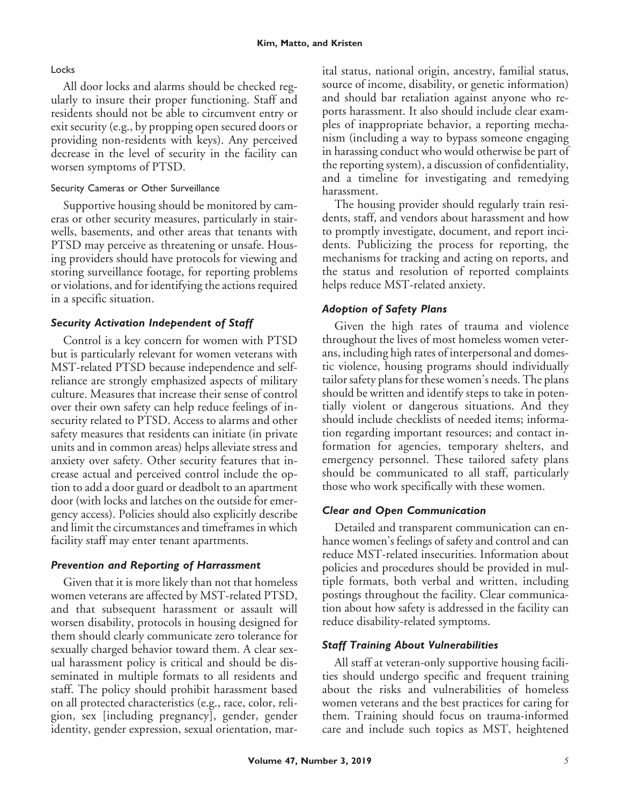#### **Locks**

All door locks and alarms should be checked regularly to insure their proper functioning. Staff and residents should not be able to circumvent entry or exit security (e.g., by propping open secured doors or providing non-residents with keys). Any perceived decrease in the level of security in the facility can worsen symptoms of PTSD.

#### Security Cameras or Other Surveillance

Supportive housing should be monitored by cameras or other security measures, particularly in stairwells, basements, and other areas that tenants with PTSD may perceive as threatening or unsafe. Housing providers should have protocols for viewing and storing surveillance footage, for reporting problems or violations, and for identifying the actions required in a specific situation.

### *Security Activation Independent of Staff*

Control is a key concern for women with PTSD but is particularly relevant for women veterans with MST-related PTSD because independence and selfreliance are strongly emphasized aspects of military culture. Measures that increase their sense of control over their own safety can help reduce feelings of insecurity related to PTSD. Access to alarms and other safety measures that residents can initiate (in private units and in common areas) helps alleviate stress and anxiety over safety. Other security features that increase actual and perceived control include the option to add a door guard or deadbolt to an apartment door (with locks and latches on the outside for emergency access). Policies should also explicitly describe and limit the circumstances and timeframes in which facility staff may enter tenant apartments.

#### *Prevention and Reporting of Harrassment*

Given that it is more likely than not that homeless women veterans are affected by MST-related PTSD, and that subsequent harassment or assault will worsen disability, protocols in housing designed for them should clearly communicate zero tolerance for sexually charged behavior toward them. A clear sexual harassment policy is critical and should be disseminated in multiple formats to all residents and staff. The policy should prohibit harassment based on all protected characteristics (e.g., race, color, religion, sex [including pregnancy], gender, gender identity, gender expression, sexual orientation, marital status, national origin, ancestry, familial status, source of income, disability, or genetic information) and should bar retaliation against anyone who reports harassment. It also should include clear examples of inappropriate behavior, a reporting mechanism (including a way to bypass someone engaging in harassing conduct who would otherwise be part of the reporting system), a discussion of confidentiality, and a timeline for investigating and remedying harassment.

The housing provider should regularly train residents, staff, and vendors about harassment and how to promptly investigate, document, and report incidents. Publicizing the process for reporting, the mechanisms for tracking and acting on reports, and the status and resolution of reported complaints helps reduce MST-related anxiety.

# *Adoption of Safety Plans*

Given the high rates of trauma and violence throughout the lives of most homeless women veterans, including high rates of interpersonal and domestic violence, housing programs should individually tailor safety plans for these women's needs. The plans should be written and identify steps to take in potentially violent or dangerous situations. And they should include checklists of needed items; information regarding important resources; and contact information for agencies, temporary shelters, and emergency personnel. These tailored safety plans should be communicated to all staff, particularly those who work specifically with these women.

# *Clear and Open Communication*

Detailed and transparent communication can enhance women's feelings of safety and control and can reduce MST-related insecurities. Information about policies and procedures should be provided in multiple formats, both verbal and written, including postings throughout the facility. Clear communication about how safety is addressed in the facility can reduce disability-related symptoms.

#### *Staff Training About Vulnerabilities*

All staff at veteran-only supportive housing facilities should undergo specific and frequent training about the risks and vulnerabilities of homeless women veterans and the best practices for caring for them. Training should focus on trauma-informed care and include such topics as MST, heightened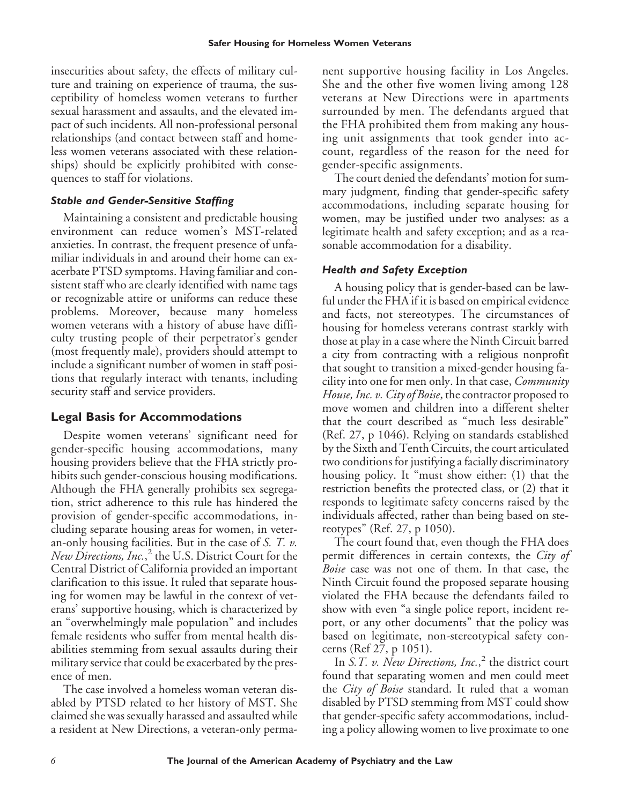insecurities about safety, the effects of military culture and training on experience of trauma, the susceptibility of homeless women veterans to further sexual harassment and assaults, and the elevated impact of such incidents. All non-professional personal relationships (and contact between staff and homeless women veterans associated with these relationships) should be explicitly prohibited with consequences to staff for violations.

#### *Stable and Gender-Sensitive Staffing*

Maintaining a consistent and predictable housing environment can reduce women's MST-related anxieties. In contrast, the frequent presence of unfamiliar individuals in and around their home can exacerbate PTSD symptoms. Having familiar and consistent staff who are clearly identified with name tags or recognizable attire or uniforms can reduce these problems. Moreover, because many homeless women veterans with a history of abuse have difficulty trusting people of their perpetrator's gender (most frequently male), providers should attempt to include a significant number of women in staff positions that regularly interact with tenants, including security staff and service providers.

# **Legal Basis for Accommodations**

Despite women veterans' significant need for gender-specific housing accommodations, many housing providers believe that the FHA strictly prohibits such gender-conscious housing modifications. Although the FHA generally prohibits sex segregation, strict adherence to this rule has hindered the provision of gender-specific accommodations, including separate housing areas for women, in veteran-only housing facilities. But in the case of *S. T. v. New Directions, Inc.*, <sup>2</sup> the U.S. District Court for the Central District of California provided an important clarification to this issue. It ruled that separate housing for women may be lawful in the context of veterans' supportive housing, which is characterized by an "overwhelmingly male population" and includes female residents who suffer from mental health disabilities stemming from sexual assaults during their military service that could be exacerbated by the presence of men.

The case involved a homeless woman veteran disabled by PTSD related to her history of MST. She claimed she was sexually harassed and assaulted while a resident at New Directions, a veteran-only permanent supportive housing facility in Los Angeles. She and the other five women living among 128 veterans at New Directions were in apartments surrounded by men. The defendants argued that the FHA prohibited them from making any housing unit assignments that took gender into account, regardless of the reason for the need for gender-specific assignments.

The court denied the defendants' motion for summary judgment, finding that gender-specific safety accommodations, including separate housing for women, may be justified under two analyses: as a legitimate health and safety exception; and as a reasonable accommodation for a disability.

#### *Health and Safety Exception*

A housing policy that is gender-based can be lawful under the FHA if it is based on empirical evidence and facts, not stereotypes. The circumstances of housing for homeless veterans contrast starkly with those at play in a case where the Ninth Circuit barred a city from contracting with a religious nonprofit that sought to transition a mixed-gender housing facility into one for men only. In that case, *Community House, Inc. v. City of Boise*, the contractor proposed to move women and children into a different shelter that the court described as "much less desirable" (Ref. 27, p 1046). Relying on standards established by the Sixth and Tenth Circuits, the court articulated two conditions for justifying a facially discriminatory housing policy. It "must show either: (1) that the restriction benefits the protected class, or (2) that it responds to legitimate safety concerns raised by the individuals affected, rather than being based on stereotypes" (Ref. 27, p 1050).

The court found that, even though the FHA does permit differences in certain contexts, the *City of Boise* case was not one of them. In that case, the Ninth Circuit found the proposed separate housing violated the FHA because the defendants failed to show with even "a single police report, incident report, or any other documents" that the policy was based on legitimate, non-stereotypical safety concerns (Ref 27, p 1051).

In *S.T. v. New Directions, Inc.*, <sup>2</sup> the district court found that separating women and men could meet the *City of Boise* standard. It ruled that a woman disabled by PTSD stemming from MST could show that gender-specific safety accommodations, including a policy allowing women to live proximate to one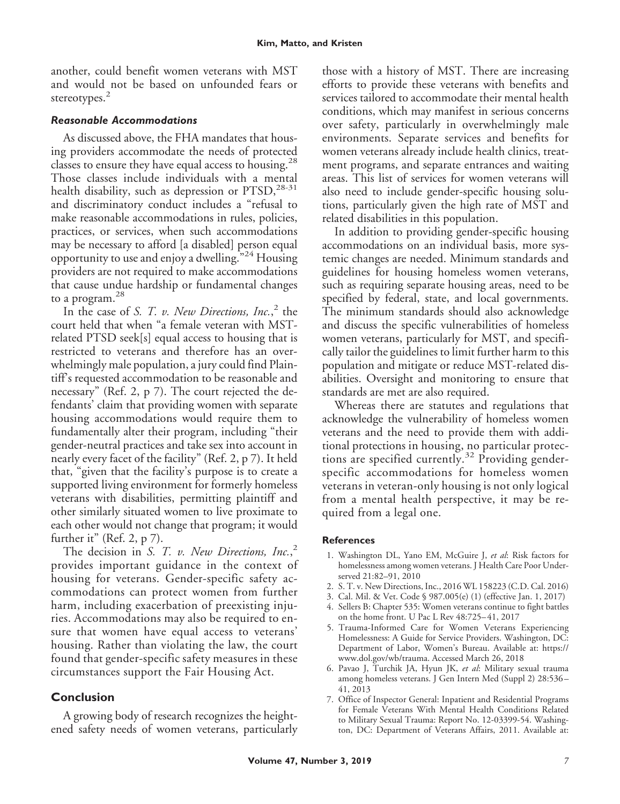another, could benefit women veterans with MST and would not be based on unfounded fears or stereotypes.<sup>2</sup>

#### *Reasonable Accommodations*

As discussed above, the FHA mandates that housing providers accommodate the needs of protected classes to ensure they have equal access to housing.<sup>28</sup> Those classes include individuals with a mental health disability, such as depression or  $PTSD$ ,<sup>28-31</sup> and discriminatory conduct includes a "refusal to make reasonable accommodations in rules, policies, practices, or services, when such accommodations may be necessary to afford [a disabled] person equal opportunity to use and enjoy a dwelling."<sup>24</sup> Housing providers are not required to make accommodations that cause undue hardship or fundamental changes to a program.<sup>28</sup>

In the case of *S. T. v. New Directions, Inc.*, <sup>2</sup> the court held that when "a female veteran with MSTrelated PTSD seek[s] equal access to housing that is restricted to veterans and therefore has an overwhelmingly male population, a jury could find Plaintiff's requested accommodation to be reasonable and necessary" (Ref. 2, p 7). The court rejected the defendants' claim that providing women with separate housing accommodations would require them to fundamentally alter their program, including "their gender-neutral practices and take sex into account in nearly every facet of the facility" (Ref. 2, p 7). It held that, "given that the facility's purpose is to create a supported living environment for formerly homeless veterans with disabilities, permitting plaintiff and other similarly situated women to live proximate to each other would not change that program; it would further it" (Ref. 2,  $p$  7).

The decision in *S. T. v. New Directions, Inc.*, 2 provides important guidance in the context of housing for veterans. Gender-specific safety accommodations can protect women from further harm, including exacerbation of preexisting injuries. Accommodations may also be required to ensure that women have equal access to veterans' housing. Rather than violating the law, the court found that gender-specific safety measures in these circumstances support the Fair Housing Act.

## **Conclusion**

A growing body of research recognizes the heightened safety needs of women veterans, particularly those with a history of MST. There are increasing efforts to provide these veterans with benefits and services tailored to accommodate their mental health conditions, which may manifest in serious concerns over safety, particularly in overwhelmingly male environments. Separate services and benefits for women veterans already include health clinics, treatment programs, and separate entrances and waiting areas. This list of services for women veterans will also need to include gender-specific housing solutions, particularly given the high rate of MST and related disabilities in this population.

In addition to providing gender-specific housing accommodations on an individual basis, more systemic changes are needed. Minimum standards and guidelines for housing homeless women veterans, such as requiring separate housing areas, need to be specified by federal, state, and local governments. The minimum standards should also acknowledge and discuss the specific vulnerabilities of homeless women veterans, particularly for MST, and specifically tailor the guidelines to limit further harm to this population and mitigate or reduce MST-related disabilities. Oversight and monitoring to ensure that standards are met are also required.

Whereas there are statutes and regulations that acknowledge the vulnerability of homeless women veterans and the need to provide them with additional protections in housing, no particular protections are specified currently.<sup>32</sup> Providing genderspecific accommodations for homeless women veterans in veteran-only housing is not only logical from a mental health perspective, it may be required from a legal one.

#### **References**

- 1. Washington DL, Yano EM, McGuire J, *et al*: Risk factors for homelessness among women veterans. J Health Care Poor Underserved 21:82–91, 2010
- 2. S. T. v. New Directions, Inc., 2016 WL 158223 (C.D. Cal. 2016)
- 3. Cal. Mil. & Vet. Code § 987.005(e) (1) (effective Jan. 1, 2017)
- 4. Sellers B: Chapter 535: Women veterans continue to fight battles on the home front. U Pac L Rev 48:725– 41, 2017
- 5. Trauma-Informed Care for Women Veterans Experiencing Homelessness: A Guide for Service Providers. Washington, DC: Department of Labor, Women's Bureau. Available at: [https://](https://www.dol.gov/wb/trauma) [www.dol.gov/wb/trauma.](https://www.dol.gov/wb/trauma) Accessed March 26, 2018
- 6. Pavao J, Turchik JA, Hyun JK, *et al*: Military sexual trauma among homeless veterans. J Gen Intern Med (Suppl 2) 28:536 – 41, 2013
- 7. Office of Inspector General: Inpatient and Residential Programs for Female Veterans With Mental Health Conditions Related to Military Sexual Trauma: Report No. 12-03399-54. Washington, DC: Department of Veterans Affairs, 2011. Available at: